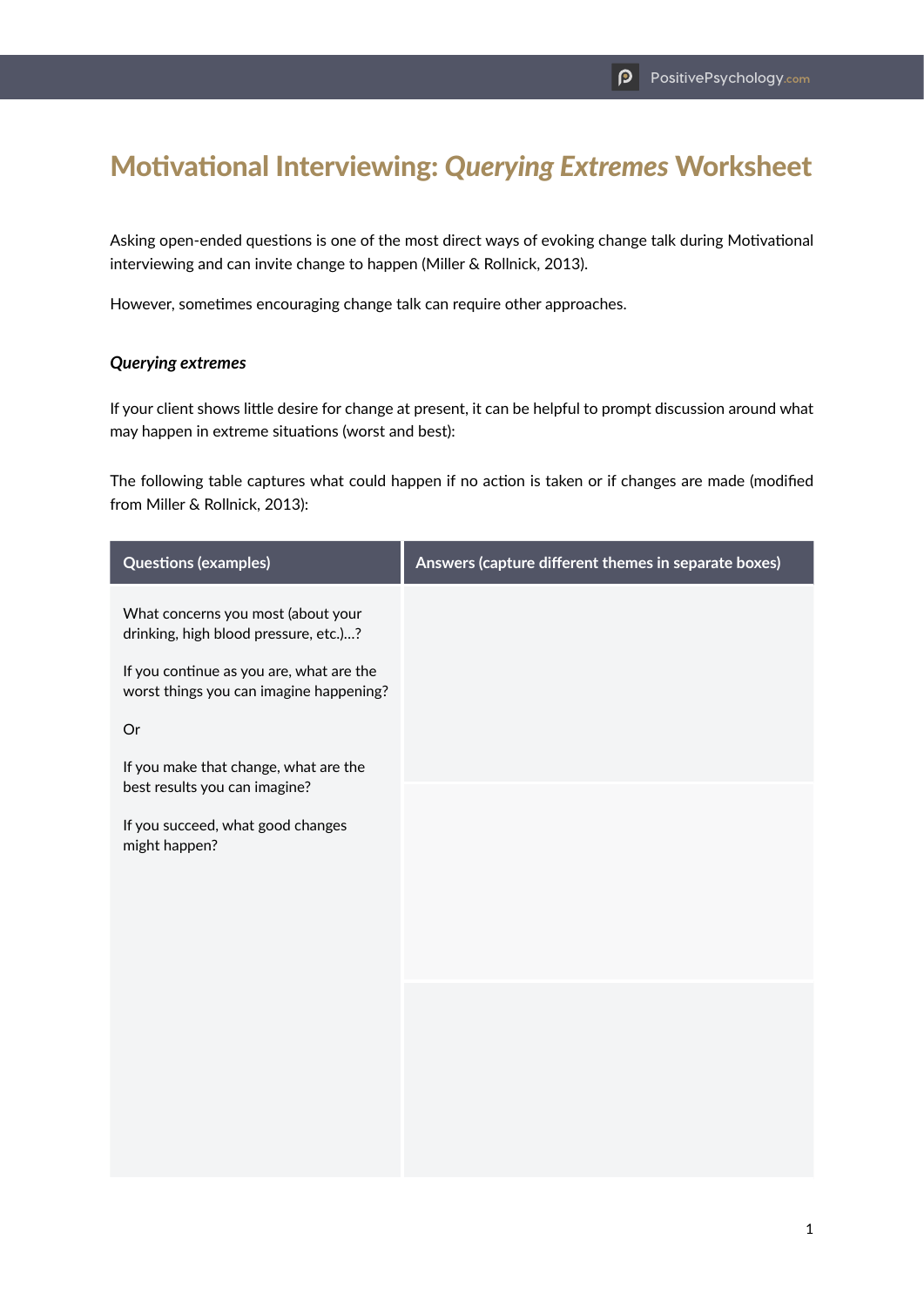## Motivational Interviewing: *Querying Extremes* Worksheet

Asking open-ended questions is one of the most direct ways of evoking change talk during Motivational interviewing and can invite change to happen (Miller & Rollnick, 2013).

However, sometimes encouraging change talk can require other approaches.

## *Querying extremes*

If your client shows little desire for change at present, it can be helpful to prompt discussion around what may happen in extreme situations (worst and best):

The following table captures what could happen if no action is taken or if changes are made (modified from Miller & Rollnick, 2013):

| <b>Questions (examples)</b>                                                         | Answers (capture different themes in separate boxes) |
|-------------------------------------------------------------------------------------|------------------------------------------------------|
| What concerns you most (about your<br>drinking, high blood pressure, etc.)?         |                                                      |
| If you continue as you are, what are the<br>worst things you can imagine happening? |                                                      |
| Or                                                                                  |                                                      |
| If you make that change, what are the<br>best results you can imagine?              |                                                      |
| If you succeed, what good changes<br>might happen?                                  |                                                      |
|                                                                                     |                                                      |